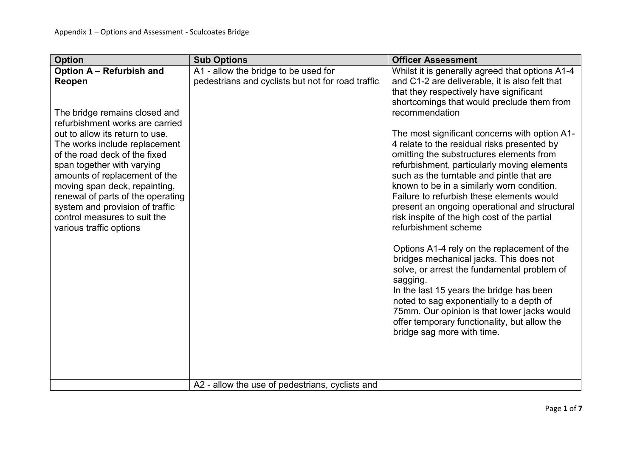| <b>Option</b>                                                                                                                                                                                                                                                                                                                                                                                                                                  | <b>Sub Options</b>                                                                        | <b>Officer Assessment</b>                                                                                                                                                                                                                                                                                                                                                                                                                                                                                                                                                                                                                                                                                                                                                                                                                                                                                                                                                                                                                          |
|------------------------------------------------------------------------------------------------------------------------------------------------------------------------------------------------------------------------------------------------------------------------------------------------------------------------------------------------------------------------------------------------------------------------------------------------|-------------------------------------------------------------------------------------------|----------------------------------------------------------------------------------------------------------------------------------------------------------------------------------------------------------------------------------------------------------------------------------------------------------------------------------------------------------------------------------------------------------------------------------------------------------------------------------------------------------------------------------------------------------------------------------------------------------------------------------------------------------------------------------------------------------------------------------------------------------------------------------------------------------------------------------------------------------------------------------------------------------------------------------------------------------------------------------------------------------------------------------------------------|
| Option A - Refurbish and<br>Reopen<br>The bridge remains closed and<br>refurbishment works are carried<br>out to allow its return to use.<br>The works include replacement<br>of the road deck of the fixed<br>span together with varying<br>amounts of replacement of the<br>moving span deck, repainting,<br>renewal of parts of the operating<br>system and provision of traffic<br>control measures to suit the<br>various traffic options | A1 - allow the bridge to be used for<br>pedestrians and cyclists but not for road traffic | Whilst it is generally agreed that options A1-4<br>and C1-2 are deliverable, it is also felt that<br>that they respectively have significant<br>shortcomings that would preclude them from<br>recommendation<br>The most significant concerns with option A1-<br>4 relate to the residual risks presented by<br>omitting the substructures elements from<br>refurbishment, particularly moving elements<br>such as the turntable and pintle that are<br>known to be in a similarly worn condition.<br>Failure to refurbish these elements would<br>present an ongoing operational and structural<br>risk inspite of the high cost of the partial<br>refurbishment scheme<br>Options A1-4 rely on the replacement of the<br>bridges mechanical jacks. This does not<br>solve, or arrest the fundamental problem of<br>sagging.<br>In the last 15 years the bridge has been<br>noted to sag exponentially to a depth of<br>75mm. Our opinion is that lower jacks would<br>offer temporary functionality, but allow the<br>bridge sag more with time. |
|                                                                                                                                                                                                                                                                                                                                                                                                                                                | A2 - allow the use of pedestrians, cyclists and                                           |                                                                                                                                                                                                                                                                                                                                                                                                                                                                                                                                                                                                                                                                                                                                                                                                                                                                                                                                                                                                                                                    |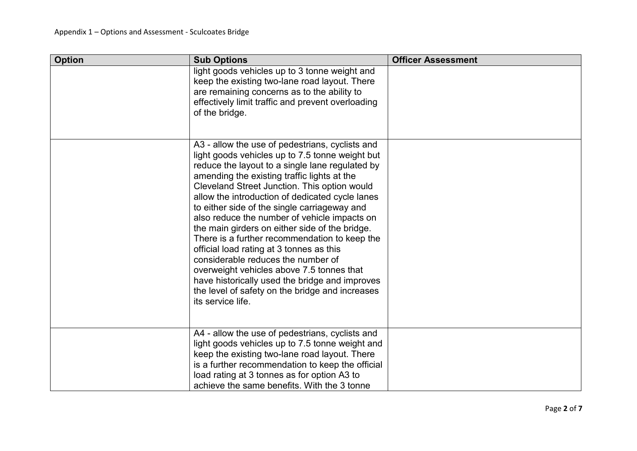| <b>Option</b> | <b>Sub Options</b>                                                                                                                                                                                                                                                                                                                                                                                                                                                                                                                                                                                                                                                                                                                                                  | <b>Officer Assessment</b> |
|---------------|---------------------------------------------------------------------------------------------------------------------------------------------------------------------------------------------------------------------------------------------------------------------------------------------------------------------------------------------------------------------------------------------------------------------------------------------------------------------------------------------------------------------------------------------------------------------------------------------------------------------------------------------------------------------------------------------------------------------------------------------------------------------|---------------------------|
|               | light goods vehicles up to 3 tonne weight and<br>keep the existing two-lane road layout. There<br>are remaining concerns as to the ability to<br>effectively limit traffic and prevent overloading<br>of the bridge.                                                                                                                                                                                                                                                                                                                                                                                                                                                                                                                                                |                           |
|               | A3 - allow the use of pedestrians, cyclists and<br>light goods vehicles up to 7.5 tonne weight but<br>reduce the layout to a single lane regulated by<br>amending the existing traffic lights at the<br>Cleveland Street Junction. This option would<br>allow the introduction of dedicated cycle lanes<br>to either side of the single carriageway and<br>also reduce the number of vehicle impacts on<br>the main girders on either side of the bridge.<br>There is a further recommendation to keep the<br>official load rating at 3 tonnes as this<br>considerable reduces the number of<br>overweight vehicles above 7.5 tonnes that<br>have historically used the bridge and improves<br>the level of safety on the bridge and increases<br>its service life. |                           |
|               | A4 - allow the use of pedestrians, cyclists and<br>light goods vehicles up to 7.5 tonne weight and<br>keep the existing two-lane road layout. There<br>is a further recommendation to keep the official<br>load rating at 3 tonnes as for option A3 to<br>achieve the same benefits. With the 3 tonne                                                                                                                                                                                                                                                                                                                                                                                                                                                               |                           |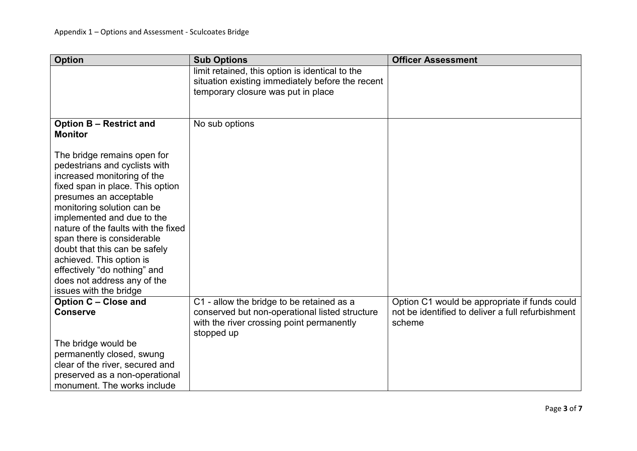| <b>Sub Options</b>                                                                                        | <b>Officer Assessment</b>                                   |
|-----------------------------------------------------------------------------------------------------------|-------------------------------------------------------------|
| limit retained, this option is identical to the<br>situation existing immediately before the recent       |                                                             |
| temporary closure was put in place                                                                        |                                                             |
|                                                                                                           |                                                             |
| No sub options                                                                                            |                                                             |
|                                                                                                           |                                                             |
|                                                                                                           |                                                             |
|                                                                                                           |                                                             |
|                                                                                                           |                                                             |
|                                                                                                           |                                                             |
|                                                                                                           |                                                             |
|                                                                                                           |                                                             |
|                                                                                                           |                                                             |
|                                                                                                           |                                                             |
|                                                                                                           |                                                             |
|                                                                                                           |                                                             |
|                                                                                                           |                                                             |
|                                                                                                           |                                                             |
|                                                                                                           | Option C1 would be appropriate if funds could               |
| conserved but non-operational listed structure<br>with the river crossing point permanently<br>stopped up | not be identified to deliver a full refurbishment<br>scheme |
|                                                                                                           |                                                             |
|                                                                                                           |                                                             |
|                                                                                                           |                                                             |
|                                                                                                           |                                                             |
|                                                                                                           | C1 - allow the bridge to be retained as a                   |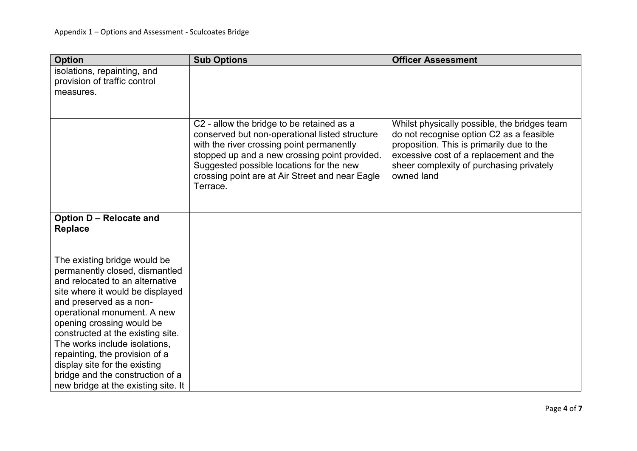| <b>Option</b>                       | <b>Sub Options</b>                                                                                                                                                                                                                                                                                   | <b>Officer Assessment</b>                                                                                                                                                                                                                  |
|-------------------------------------|------------------------------------------------------------------------------------------------------------------------------------------------------------------------------------------------------------------------------------------------------------------------------------------------------|--------------------------------------------------------------------------------------------------------------------------------------------------------------------------------------------------------------------------------------------|
| isolations, repainting, and         |                                                                                                                                                                                                                                                                                                      |                                                                                                                                                                                                                                            |
| provision of traffic control        |                                                                                                                                                                                                                                                                                                      |                                                                                                                                                                                                                                            |
| measures.                           |                                                                                                                                                                                                                                                                                                      |                                                                                                                                                                                                                                            |
|                                     |                                                                                                                                                                                                                                                                                                      |                                                                                                                                                                                                                                            |
|                                     | C2 - allow the bridge to be retained as a<br>conserved but non-operational listed structure<br>with the river crossing point permanently<br>stopped up and a new crossing point provided.<br>Suggested possible locations for the new<br>crossing point are at Air Street and near Eagle<br>Terrace. | Whilst physically possible, the bridges team<br>do not recognise option C2 as a feasible<br>proposition. This is primarily due to the<br>excessive cost of a replacement and the<br>sheer complexity of purchasing privately<br>owned land |
| Option D - Relocate and             |                                                                                                                                                                                                                                                                                                      |                                                                                                                                                                                                                                            |
| <b>Replace</b>                      |                                                                                                                                                                                                                                                                                                      |                                                                                                                                                                                                                                            |
|                                     |                                                                                                                                                                                                                                                                                                      |                                                                                                                                                                                                                                            |
|                                     |                                                                                                                                                                                                                                                                                                      |                                                                                                                                                                                                                                            |
| The existing bridge would be        |                                                                                                                                                                                                                                                                                                      |                                                                                                                                                                                                                                            |
| permanently closed, dismantled      |                                                                                                                                                                                                                                                                                                      |                                                                                                                                                                                                                                            |
| and relocated to an alternative     |                                                                                                                                                                                                                                                                                                      |                                                                                                                                                                                                                                            |
| site where it would be displayed    |                                                                                                                                                                                                                                                                                                      |                                                                                                                                                                                                                                            |
| and preserved as a non-             |                                                                                                                                                                                                                                                                                                      |                                                                                                                                                                                                                                            |
| operational monument. A new         |                                                                                                                                                                                                                                                                                                      |                                                                                                                                                                                                                                            |
| opening crossing would be           |                                                                                                                                                                                                                                                                                                      |                                                                                                                                                                                                                                            |
| constructed at the existing site.   |                                                                                                                                                                                                                                                                                                      |                                                                                                                                                                                                                                            |
| The works include isolations,       |                                                                                                                                                                                                                                                                                                      |                                                                                                                                                                                                                                            |
| repainting, the provision of a      |                                                                                                                                                                                                                                                                                                      |                                                                                                                                                                                                                                            |
| display site for the existing       |                                                                                                                                                                                                                                                                                                      |                                                                                                                                                                                                                                            |
| bridge and the construction of a    |                                                                                                                                                                                                                                                                                                      |                                                                                                                                                                                                                                            |
| new bridge at the existing site. It |                                                                                                                                                                                                                                                                                                      |                                                                                                                                                                                                                                            |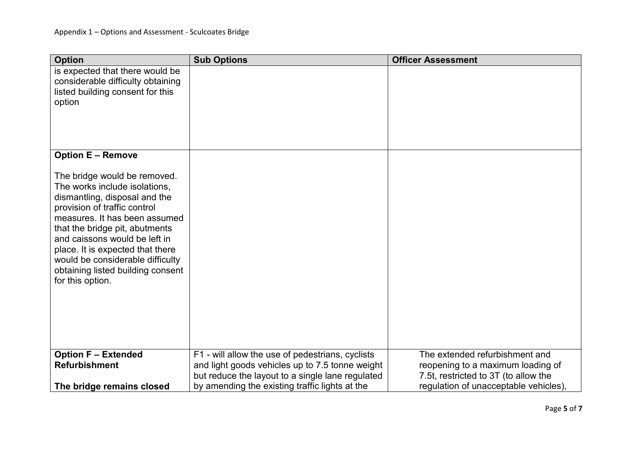| <b>Option</b>                                                                                                                                                                                                                                                                                                                                                       | <b>Sub Options</b>                                                                                  | <b>Officer Assessment</b>                                                 |
|---------------------------------------------------------------------------------------------------------------------------------------------------------------------------------------------------------------------------------------------------------------------------------------------------------------------------------------------------------------------|-----------------------------------------------------------------------------------------------------|---------------------------------------------------------------------------|
| is expected that there would be<br>considerable difficulty obtaining<br>listed building consent for this<br>option                                                                                                                                                                                                                                                  |                                                                                                     |                                                                           |
| <b>Option E - Remove</b>                                                                                                                                                                                                                                                                                                                                            |                                                                                                     |                                                                           |
| The bridge would be removed.<br>The works include isolations,<br>dismantling, disposal and the<br>provision of traffic control<br>measures. It has been assumed<br>that the bridge pit, abutments<br>and caissons would be left in<br>place. It is expected that there<br>would be considerable difficulty<br>obtaining listed building consent<br>for this option. |                                                                                                     |                                                                           |
| <b>Option F - Extended</b>                                                                                                                                                                                                                                                                                                                                          | F1 - will allow the use of pedestrians, cyclists                                                    | The extended refurbishment and                                            |
| <b>Refurbishment</b>                                                                                                                                                                                                                                                                                                                                                | and light goods vehicles up to 7.5 tonne weight<br>but reduce the layout to a single lane regulated | reopening to a maximum loading of<br>7.5t, restricted to 3T (to allow the |
| The bridge remains closed                                                                                                                                                                                                                                                                                                                                           | by amending the existing traffic lights at the                                                      | regulation of unacceptable vehicles),                                     |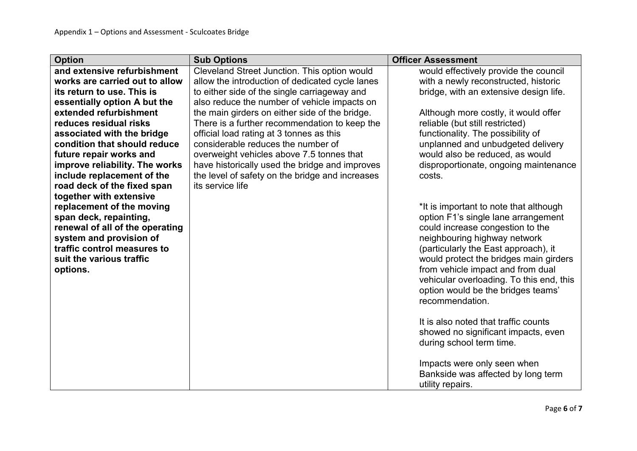| <b>Option</b>                   | <b>Sub Options</b>                              | <b>Officer Assessment</b>                |
|---------------------------------|-------------------------------------------------|------------------------------------------|
| and extensive refurbishment     | Cleveland Street Junction. This option would    | would effectively provide the council    |
| works are carried out to allow  | allow the introduction of dedicated cycle lanes | with a newly reconstructed, historic     |
| its return to use. This is      | to either side of the single carriageway and    | bridge, with an extensive design life.   |
| essentially option A but the    | also reduce the number of vehicle impacts on    |                                          |
| extended refurbishment          | the main girders on either side of the bridge.  | Although more costly, it would offer     |
| reduces residual risks          | There is a further recommendation to keep the   | reliable (but still restricted)          |
| associated with the bridge      | official load rating at 3 tonnes as this        | functionality. The possibility of        |
| condition that should reduce    | considerable reduces the number of              | unplanned and unbudgeted delivery        |
| future repair works and         | overweight vehicles above 7.5 tonnes that       | would also be reduced, as would          |
| improve reliability. The works  | have historically used the bridge and improves  | disproportionate, ongoing maintenance    |
| include replacement of the      | the level of safety on the bridge and increases | costs.                                   |
| road deck of the fixed span     | its service life                                |                                          |
| together with extensive         |                                                 |                                          |
| replacement of the moving       |                                                 | *It is important to note that although   |
| span deck, repainting,          |                                                 | option F1's single lane arrangement      |
| renewal of all of the operating |                                                 | could increase congestion to the         |
| system and provision of         |                                                 | neighbouring highway network             |
| traffic control measures to     |                                                 | (particularly the East approach), it     |
| suit the various traffic        |                                                 | would protect the bridges main girders   |
| options.                        |                                                 | from vehicle impact and from dual        |
|                                 |                                                 | vehicular overloading. To this end, this |
|                                 |                                                 | option would be the bridges teams'       |
|                                 |                                                 | recommendation.                          |
|                                 |                                                 |                                          |
|                                 |                                                 | It is also noted that traffic counts     |
|                                 |                                                 | showed no significant impacts, even      |
|                                 |                                                 | during school term time.                 |
|                                 |                                                 |                                          |
|                                 |                                                 | Impacts were only seen when              |
|                                 |                                                 | Bankside was affected by long term       |
|                                 |                                                 | utility repairs.                         |